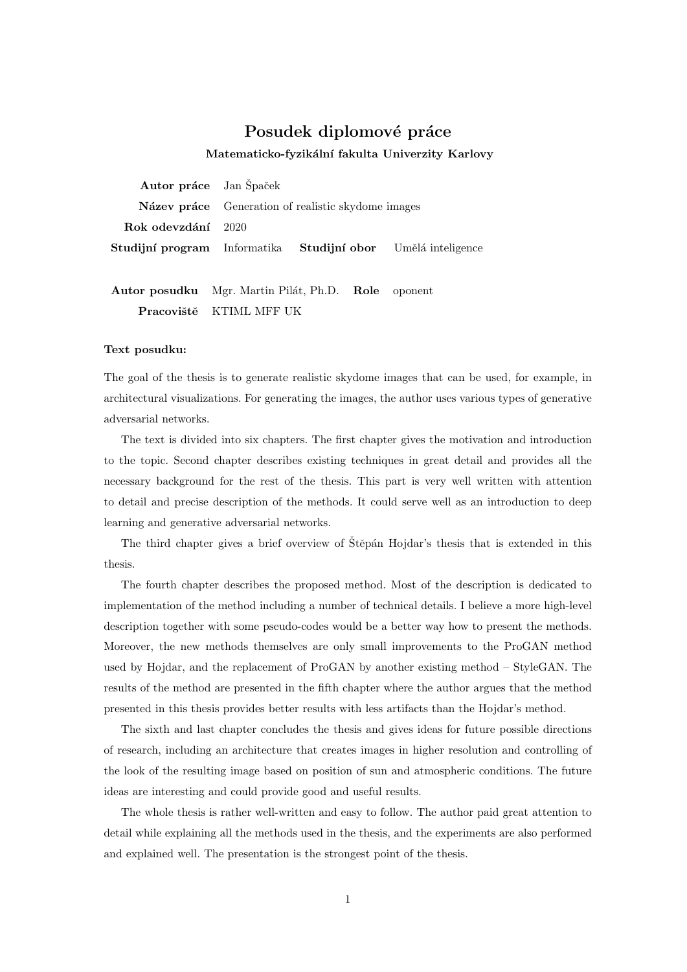## Posudek diplomové práce

Matematicko-fyzikální fakulta Univerzity Karlovy

Autor práce Jan Špaček Název práce Generation of realistic skydome images Rok odevzdání 2020 Studijní program Informatika Studijní obor Umělá inteligence

Autor posudku Mgr. Martin Pilát, Ph.D. Role oponent Pracoviště KTIML MFF UK

## Text posudku:

The goal of the thesis is to generate realistic skydome images that can be used, for example, in architectural visualizations. For generating the images, the author uses various types of generative adversarial networks.

The text is divided into six chapters. The first chapter gives the motivation and introduction to the topic. Second chapter describes existing techniques in great detail and provides all the necessary background for the rest of the thesis. This part is very well written with attention to detail and precise description of the methods. It could serve well as an introduction to deep learning and generative adversarial networks.

The third chapter gives a brief overview of Stěpán Hojdar's thesis that is extended in this thesis.

The fourth chapter describes the proposed method. Most of the description is dedicated to implementation of the method including a number of technical details. I believe a more high-level description together with some pseudo-codes would be a better way how to present the methods. Moreover, the new methods themselves are only small improvements to the ProGAN method used by Hojdar, and the replacement of ProGAN by another existing method – StyleGAN. The results of the method are presented in the fifth chapter where the author argues that the method presented in this thesis provides better results with less artifacts than the Hojdar's method.

The sixth and last chapter concludes the thesis and gives ideas for future possible directions of research, including an architecture that creates images in higher resolution and controlling of the look of the resulting image based on position of sun and atmospheric conditions. The future ideas are interesting and could provide good and useful results.

The whole thesis is rather well-written and easy to follow. The author paid great attention to detail while explaining all the methods used in the thesis, and the experiments are also performed and explained well. The presentation is the strongest point of the thesis.